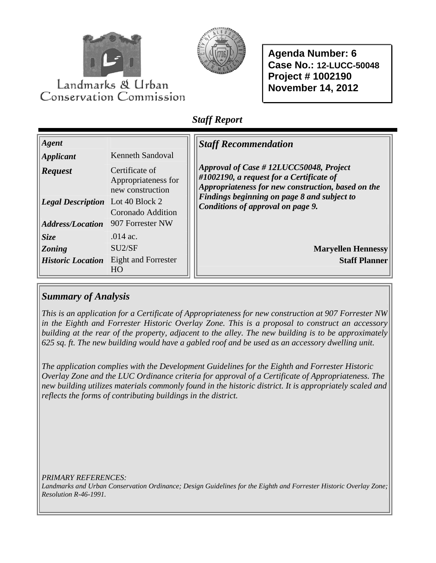



**Agenda Number: 6 Case No.: 12-LUCC-50048 Project # 1002190 November 14, 2012** 

# *Staff Report*

| Agent<br><i>Applicant</i><br><b>Request</b><br><b>Legal Description</b> | <b>Kenneth Sandoval</b><br>Certificate of<br>Appropriateness for<br>new construction<br>Lot 40 Block 2<br>Coronado Addition | <b>Staff Recommendation</b><br>Approval of Case #12LUCC50048, Project<br>#1002190, a request for a Certificate of<br>Appropriateness for new construction, based on the<br>Findings beginning on page 8 and subject to<br>Conditions of approval on page 9. |
|-------------------------------------------------------------------------|-----------------------------------------------------------------------------------------------------------------------------|-------------------------------------------------------------------------------------------------------------------------------------------------------------------------------------------------------------------------------------------------------------|
| <b>Address/Location</b>                                                 | 907 Forrester NW                                                                                                            |                                                                                                                                                                                                                                                             |
| Size                                                                    | $.014$ ac.                                                                                                                  |                                                                                                                                                                                                                                                             |
| <b>Zoning</b>                                                           | SU <sub>2</sub> /SF                                                                                                         | <b>Maryellen Hennessy</b>                                                                                                                                                                                                                                   |
| <b>Historic Location</b>                                                | Eight and Forrester<br>HO                                                                                                   | <b>Staff Planner</b>                                                                                                                                                                                                                                        |

# *Summary of Analysis*

*This is an application for a Certificate of Appropriateness for new construction at 907 Forrester NW in the Eighth and Forrester Historic Overlay Zone. This is a proposal to construct an accessory building at the rear of the property, adjacent to the alley. The new building is to be approximately 625 sq. ft. The new building would have a gabled roof and be used as an accessory dwelling unit.* 

*The application complies with the Development Guidelines for the Eighth and Forrester Historic Overlay Zone and the LUC Ordinance criteria for approval of a Certificate of Appropriateness. The new building utilizes materials commonly found in the historic district. It is appropriately scaled and reflects the forms of contributing buildings in the district.* 

*PRIMARY REFERENCES:* 

*Landmarks and Urban Conservation Ordinance; Design Guidelines for the Eighth and Forrester Historic Overlay Zone; Resolution R-46-1991.*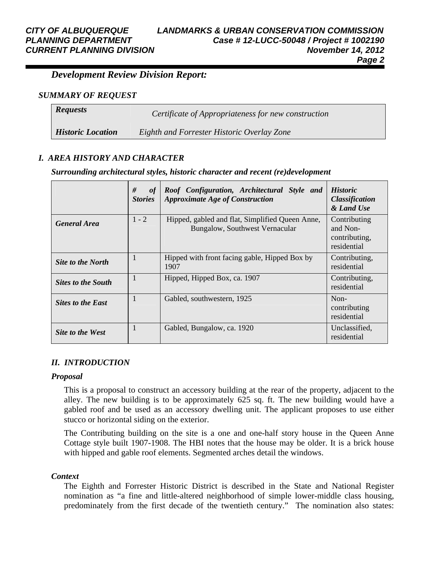### *Development Review Division Report:*

#### *SUMMARY OF REQUEST*

| <b>Requests</b>          | Certificate of Appropriateness for new construction |
|--------------------------|-----------------------------------------------------|
| <b>Historic Location</b> | Eighth and Forrester Historic Overlay Zone          |

#### *I. AREA HISTORY AND CHARACTER*

#### *Surrounding architectural styles, historic character and recent (re)development*

|                           | #<br>of<br><b>Stories</b> | Roof Configuration, Architectural Style and<br><b>Approximate Age of Construction</b> | <b>Historic</b><br><b>Classification</b><br>& Land Use   |
|---------------------------|---------------------------|---------------------------------------------------------------------------------------|----------------------------------------------------------|
| <b>General Area</b>       | $1 - 2$                   | Hipped, gabled and flat, Simplified Queen Anne,<br>Bungalow, Southwest Vernacular     | Contributing<br>and Non-<br>contributing,<br>residential |
| Site to the North         |                           | Hipped with front facing gable, Hipped Box by<br>1907                                 | Contributing,<br>residential                             |
| <b>Sites to the South</b> |                           | Hipped, Hipped Box, ca. 1907                                                          | Contributing,<br>residential                             |
| <b>Sites to the East</b>  |                           | Gabled, southwestern, 1925                                                            | Non-<br>contributing<br>residential                      |
| Site to the West          |                           | Gabled, Bungalow, ca. 1920                                                            | Unclassified.<br>residential                             |

#### *II. INTRODUCTION*

#### *Proposal*

This is a proposal to construct an accessory building at the rear of the property, adjacent to the alley. The new building is to be approximately 625 sq. ft. The new building would have a gabled roof and be used as an accessory dwelling unit. The applicant proposes to use either stucco or horizontal siding on the exterior.

The Contributing building on the site is a one and one-half story house in the Queen Anne Cottage style built 1907-1908. The HBI notes that the house may be older. It is a brick house with hipped and gable roof elements. Segmented arches detail the windows.

#### *Context*

The Eighth and Forrester Historic District is described in the State and National Register nomination as "a fine and little-altered neighborhood of simple lower-middle class housing, predominately from the first decade of the twentieth century." The nomination also states: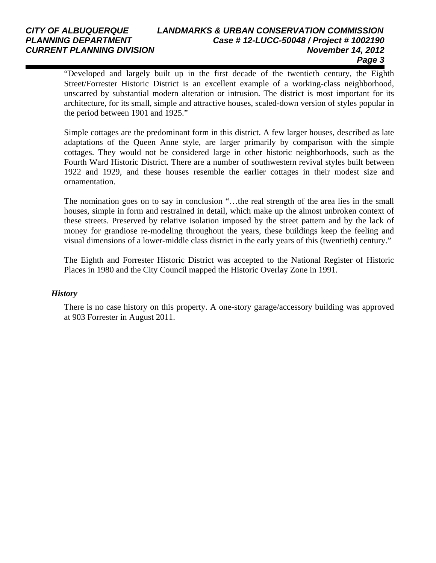#### *CITY OF ALBUQUERQUE LANDMARKS & URBAN CONSERVATION COMMISSION PLANNING DEPARTMENT Case # 12-LUCC-50048 / Project # 1002190 CURRENT PLANNING DIVISION November 14, 2012 Page 3*

"Developed and largely built up in the first decade of the twentieth century, the Eighth Street/Forrester Historic District is an excellent example of a working-class neighborhood, unscarred by substantial modern alteration or intrusion. The district is most important for its architecture, for its small, simple and attractive houses, scaled-down version of styles popular in the period between 1901 and 1925."

Simple cottages are the predominant form in this district. A few larger houses, described as late adaptations of the Queen Anne style, are larger primarily by comparison with the simple cottages. They would not be considered large in other historic neighborhoods, such as the Fourth Ward Historic District. There are a number of southwestern revival styles built between 1922 and 1929, and these houses resemble the earlier cottages in their modest size and ornamentation.

The nomination goes on to say in conclusion "…the real strength of the area lies in the small houses, simple in form and restrained in detail, which make up the almost unbroken context of these streets. Preserved by relative isolation imposed by the street pattern and by the lack of money for grandiose re-modeling throughout the years, these buildings keep the feeling and visual dimensions of a lower-middle class district in the early years of this (twentieth) century."

The Eighth and Forrester Historic District was accepted to the National Register of Historic Places in 1980 and the City Council mapped the Historic Overlay Zone in 1991.

#### *History*

There is no case history on this property. A one-story garage/accessory building was approved at 903 Forrester in August 2011.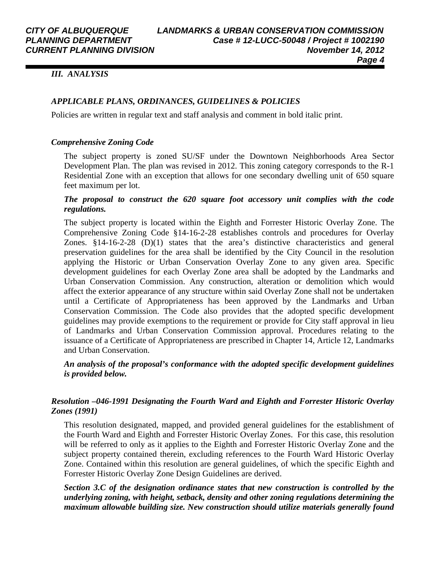#### *III. ANALYSIS*

#### *APPLICABLE PLANS, ORDINANCES, GUIDELINES & POLICIES*

Policies are written in regular text and staff analysis and comment in bold italic print.

#### *Comprehensive Zoning Code*

The subject property is zoned SU/SF under the Downtown Neighborhoods Area Sector Development Plan. The plan was revised in 2012. This zoning category corresponds to the R-1 Residential Zone with an exception that allows for one secondary dwelling unit of 650 square feet maximum per lot.

#### *The proposal to construct the 620 square foot accessory unit complies with the code regulations.*

The subject property is located within the Eighth and Forrester Historic Overlay Zone. The Comprehensive Zoning Code §14-16-2-28 establishes controls and procedures for Overlay Zones. §14-16-2-28 (D)(1) states that the area's distinctive characteristics and general preservation guidelines for the area shall be identified by the City Council in the resolution applying the Historic or Urban Conservation Overlay Zone to any given area. Specific development guidelines for each Overlay Zone area shall be adopted by the Landmarks and Urban Conservation Commission. Any construction, alteration or demolition which would affect the exterior appearance of any structure within said Overlay Zone shall not be undertaken until a Certificate of Appropriateness has been approved by the Landmarks and Urban Conservation Commission. The Code also provides that the adopted specific development guidelines may provide exemptions to the requirement or provide for City staff approval in lieu of Landmarks and Urban Conservation Commission approval. Procedures relating to the issuance of a Certificate of Appropriateness are prescribed in Chapter 14, Article 12, Landmarks and Urban Conservation.

#### *An analysis of the proposal's conformance with the adopted specific development guidelines is provided below.*

#### *Resolution –046-1991 Designating the Fourth Ward and Eighth and Forrester Historic Overlay Zones (1991)*

This resolution designated, mapped, and provided general guidelines for the establishment of the Fourth Ward and Eighth and Forrester Historic Overlay Zones. For this case, this resolution will be referred to only as it applies to the Eighth and Forrester Historic Overlay Zone and the subject property contained therein, excluding references to the Fourth Ward Historic Overlay Zone. Contained within this resolution are general guidelines, of which the specific Eighth and Forrester Historic Overlay Zone Design Guidelines are derived.

*Section 3.C of the designation ordinance states that new construction is controlled by the underlying zoning, with height, setback, density and other zoning regulations determining the maximum allowable building size. New construction should utilize materials generally found*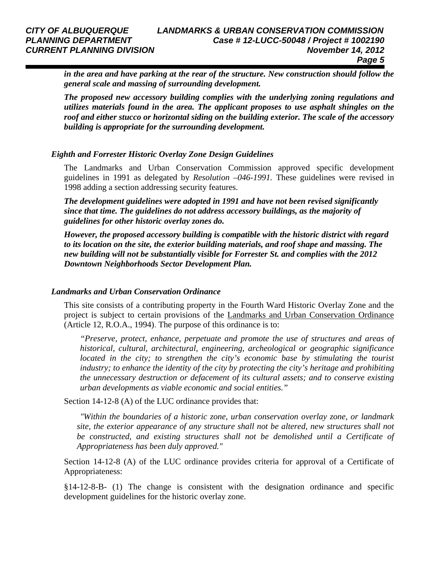*in the area and have parking at the rear of the structure. New construction should follow the general scale and massing of surrounding development.* 

*The proposed new accessory building complies with the underlying zoning regulations and utilizes materials found in the area. The applicant proposes to use asphalt shingles on the roof and either stucco or horizontal siding on the building exterior. The scale of the accessory building is appropriate for the surrounding development.* 

#### *Eighth and Forrester Historic Overlay Zone Design Guidelines*

The Landmarks and Urban Conservation Commission approved specific development guidelines in 1991 as delegated by *Resolution –046-1991.* These guidelines were revised in 1998 adding a section addressing security features.

*The development guidelines were adopted in 1991 and have not been revised significantly since that time. The guidelines do not address accessory buildings, as the majority of guidelines for other historic overlay zones do.* 

*However, the proposed accessory building is compatible with the historic district with regard to its location on the site, the exterior building materials, and roof shape and massing. The new building will not be substantially visible for Forrester St. and complies with the 2012 Downtown Neighborhoods Sector Development Plan.* 

#### *Landmarks and Urban Conservation Ordinance*

This site consists of a contributing property in the Fourth Ward Historic Overlay Zone and the project is subject to certain provisions of the Landmarks and Urban Conservation Ordinance (Article 12, R.O.A., 1994). The purpose of this ordinance is to:

*"Preserve, protect, enhance, perpetuate and promote the use of structures and areas of historical, cultural, architectural, engineering, archeological or geographic significance located in the city; to strengthen the city's economic base by stimulating the tourist industry; to enhance the identity of the city by protecting the city's heritage and prohibiting the unnecessary destruction or defacement of its cultural assets; and to conserve existing urban developments as viable economic and social entities."* 

Section 14-12-8 (A) of the LUC ordinance provides that:

 *"Within the boundaries of a historic zone, urban conservation overlay zone, or landmark site, the exterior appearance of any structure shall not be altered, new structures shall not be constructed, and existing structures shall not be demolished until a Certificate of Appropriateness has been duly approved."*

Section 14-12-8 (A) of the LUC ordinance provides criteria for approval of a Certificate of Appropriateness:

§14-12-8-B- (1) The change is consistent with the designation ordinance and specific development guidelines for the historic overlay zone.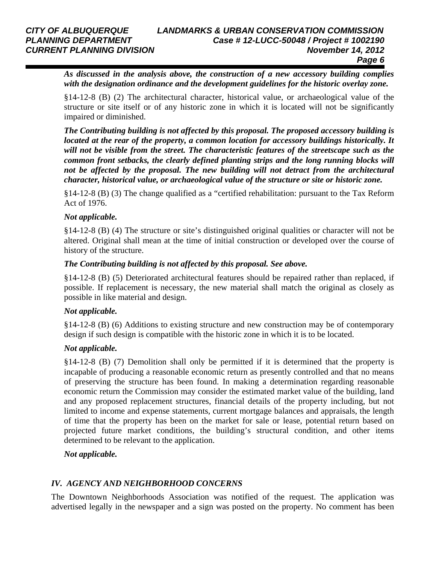*As discussed in the analysis above, the construction of a new accessory building complies with the designation ordinance and the development guidelines for the historic overlay zone.* 

§14-12-8 (B) (2) The architectural character, historical value, or archaeological value of the structure or site itself or of any historic zone in which it is located will not be significantly impaired or diminished.

*The Contributing building is not affected by this proposal. The proposed accessory building is located at the rear of the property, a common location for accessory buildings historically. It will not be visible from the street. The characteristic features of the streetscape such as the common front setbacks, the clearly defined planting strips and the long running blocks will not be affected by the proposal. The new building will not detract from the architectural character, historical value, or archaeological value of the structure or site or historic zone.* 

§14-12-8 (B) (3) The change qualified as a "certified rehabilitation: pursuant to the Tax Reform Act of 1976.

### *Not applicable.*

§14-12-8 (B) (4) The structure or site's distinguished original qualities or character will not be altered. Original shall mean at the time of initial construction or developed over the course of history of the structure.

#### *The Contributing building is not affected by this proposal. See above.*

§14-12-8 (B) (5) Deteriorated architectural features should be repaired rather than replaced, if possible. If replacement is necessary, the new material shall match the original as closely as possible in like material and design.

### *Not applicable.*

§14-12-8 (B) (6) Additions to existing structure and new construction may be of contemporary design if such design is compatible with the historic zone in which it is to be located.

### *Not applicable.*

§14-12-8 (B) (7) Demolition shall only be permitted if it is determined that the property is incapable of producing a reasonable economic return as presently controlled and that no means of preserving the structure has been found. In making a determination regarding reasonable economic return the Commission may consider the estimated market value of the building, land and any proposed replacement structures, financial details of the property including, but not limited to income and expense statements, current mortgage balances and appraisals, the length of time that the property has been on the market for sale or lease, potential return based on projected future market conditions, the building's structural condition, and other items determined to be relevant to the application.

### *Not applicable.*

### *IV. AGENCY AND NEIGHBORHOOD CONCERNS*

The Downtown Neighborhoods Association was notified of the request. The application was advertised legally in the newspaper and a sign was posted on the property. No comment has been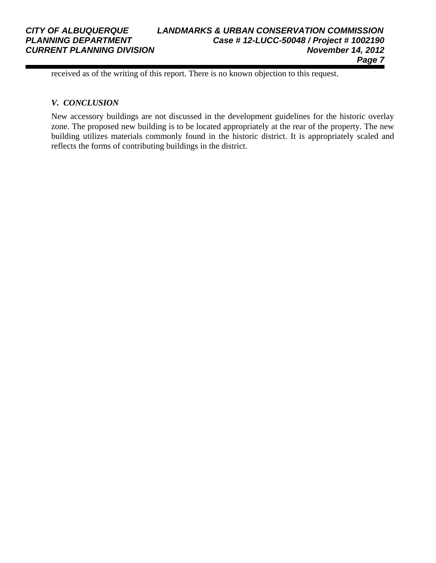#### *CITY OF ALBUQUERQUE LANDMARKS & URBAN CONSERVATION COMMISSION PLANNING DEPARTMENT Case # 12-LUCC-50048 / Project # 1002190 CURRENT PLANNING DIVISION November 14, 2012 Page 7*

received as of the writing of this report. There is no known objection to this request.

#### *V. CONCLUSION*

New accessory buildings are not discussed in the development guidelines for the historic overlay zone. The proposed new building is to be located appropriately at the rear of the property. The new building utilizes materials commonly found in the historic district. It is appropriately scaled and reflects the forms of contributing buildings in the district.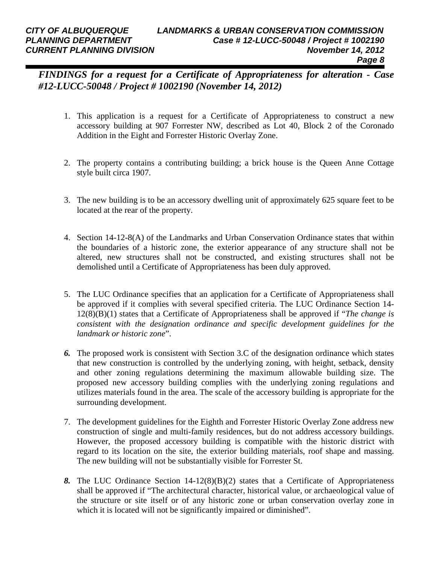*FINDINGS for a request for a Certificate of Appropriateness for alteration - Case #12-LUCC-50048 / Project # 1002190 (November 14, 2012)* 

- 1. This application is a request for a Certificate of Appropriateness to construct a new accessory building at 907 Forrester NW, described as Lot 40, Block 2 of the Coronado Addition in the Eight and Forrester Historic Overlay Zone.
- 2. The property contains a contributing building; a brick house is the Queen Anne Cottage style built circa 1907.
- 3. The new building is to be an accessory dwelling unit of approximately 625 square feet to be located at the rear of the property.
- 4. Section 14-12-8(A) of the Landmarks and Urban Conservation Ordinance states that within the boundaries of a historic zone, the exterior appearance of any structure shall not be altered, new structures shall not be constructed, and existing structures shall not be demolished until a Certificate of Appropriateness has been duly approved.
- 5. The LUC Ordinance specifies that an application for a Certificate of Appropriateness shall be approved if it complies with several specified criteria. The LUC Ordinance Section 14- 12(8)(B)(1) states that a Certificate of Appropriateness shall be approved if "*The change is consistent with the designation ordinance and specific development guidelines for the landmark or historic zone*".
- *6.* The proposed work is consistent with Section 3.C of the designation ordinance which states that new construction is controlled by the underlying zoning, with height, setback, density and other zoning regulations determining the maximum allowable building size. The proposed new accessory building complies with the underlying zoning regulations and utilizes materials found in the area. The scale of the accessory building is appropriate for the surrounding development.
- 7. The development guidelines for the Eighth and Forrester Historic Overlay Zone address new construction of single and multi-family residences, but do not address accessory buildings. However, the proposed accessory building is compatible with the historic district with regard to its location on the site, the exterior building materials, roof shape and massing. The new building will not be substantially visible for Forrester St.
- *8.* The LUC Ordinance Section 14-12(8)(B)(2) states that a Certificate of Appropriateness shall be approved if "The architectural character, historical value, or archaeological value of the structure or site itself or of any historic zone or urban conservation overlay zone in which it is located will not be significantly impaired or diminished".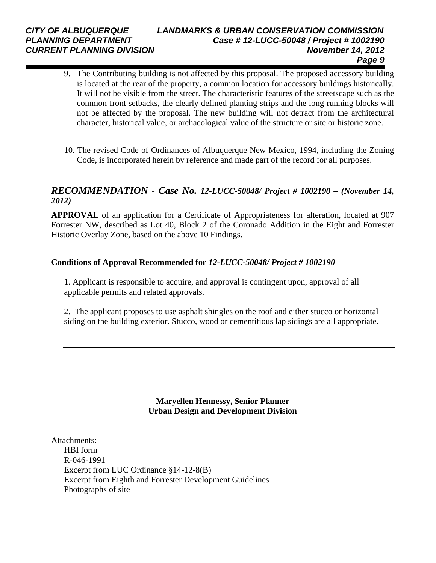### *CITY OF ALBUQUERQUE LANDMARKS & URBAN CONSERVATION COMMISSION PLANNING DEPARTMENT Case # 12-LUCC-50048 / Project # 1002190 CURRENT PLANNING DIVISION November 14, 2012 Page 9*

- 9. The Contributing building is not affected by this proposal. The proposed accessory building is located at the rear of the property, a common location for accessory buildings historically. It will not be visible from the street. The characteristic features of the streetscape such as the common front setbacks, the clearly defined planting strips and the long running blocks will not be affected by the proposal. The new building will not detract from the architectural character, historical value, or archaeological value of the structure or site or historic zone.
- 10. The revised Code of Ordinances of Albuquerque New Mexico, 1994, including the Zoning Code, is incorporated herein by reference and made part of the record for all purposes.

## *RECOMMENDATION - Case No. 12-LUCC-50048/ Project # 1002190 – (November 14, 2012)*

**APPROVAL** of an application for a Certificate of Appropriateness for alteration, located at 907 Forrester NW, described as Lot 40, Block 2 of the Coronado Addition in the Eight and Forrester Historic Overlay Zone, based on the above 10 Findings.

#### **Conditions of Approval Recommended for** *12-LUCC-50048/ Project # 1002190*

1. Applicant is responsible to acquire, and approval is contingent upon, approval of all applicable permits and related approvals.

2. The applicant proposes to use asphalt shingles on the roof and either stucco or horizontal siding on the building exterior. Stucco, wood or cementitious lap sidings are all appropriate.

> **Maryellen Hennessy, Senior Planner Urban Design and Development Division**

**\_\_\_\_\_\_\_\_\_\_\_\_\_\_\_\_\_\_\_\_\_\_\_\_\_\_\_\_\_\_\_\_\_\_\_\_\_\_\_\_\_\_\_\_** 

Attachments: HBI form R-046-1991 Excerpt from LUC Ordinance §14-12-8(B) Excerpt from Eighth and Forrester Development Guidelines Photographs of site